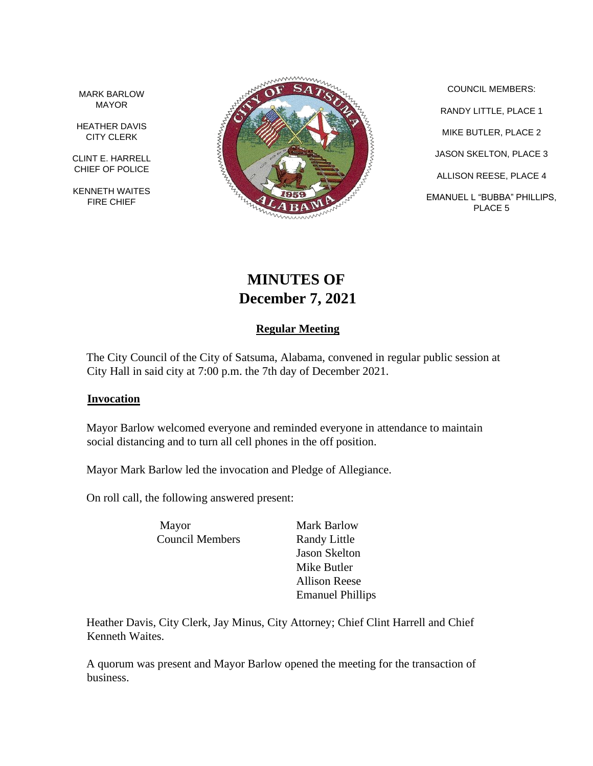MARK BARLOW MAYOR

HEATHER DAVIS CITY CLERK

CLINT E. HARRELL CHIEF OF POLICE

KENNETH WAITES FIRE CHIEF



COUNCIL MEMBERS: RANDY LITTLE, PLACE 1 MIKE BUTLER, PLACE 2 JASON SKELTON, PLACE 3 ALLISON REESE, PLACE 4 EMANUEL L "BUBBA" PHILLIPS, PLACE 5

# **MINUTES OF December 7, 2021**

# **Regular Meeting**

The City Council of the City of Satsuma, Alabama, convened in regular public session at City Hall in said city at 7:00 p.m. the 7th day of December 2021.

### **Invocation**

Mayor Barlow welcomed everyone and reminded everyone in attendance to maintain social distancing and to turn all cell phones in the off position.

Mayor Mark Barlow led the invocation and Pledge of Allegiance.

On roll call, the following answered present:

Mayor Mark Barlow Council Members Randy Little

Jason Skelton Mike Butler Allison Reese Emanuel Phillips

Heather Davis, City Clerk, Jay Minus, City Attorney; Chief Clint Harrell and Chief Kenneth Waites.

A quorum was present and Mayor Barlow opened the meeting for the transaction of business.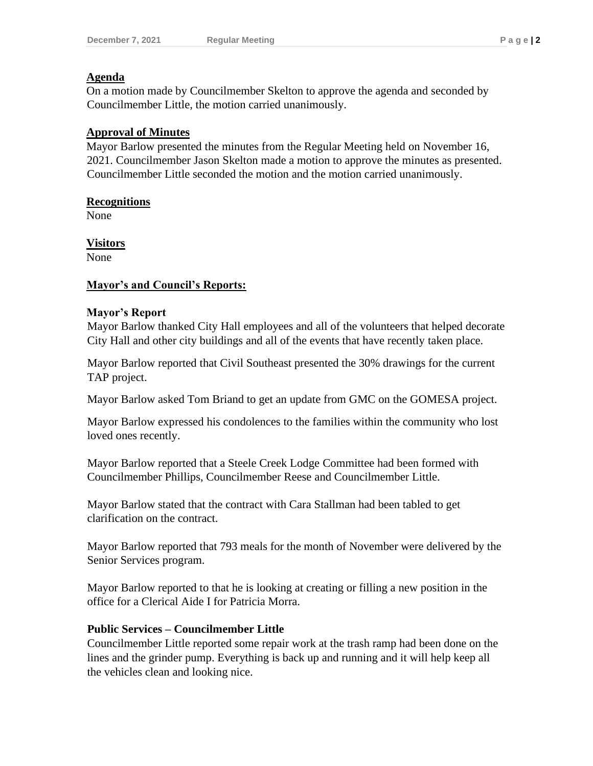### **Agenda**

On a motion made by Councilmember Skelton to approve the agenda and seconded by Councilmember Little, the motion carried unanimously.

# **Approval of Minutes**

Mayor Barlow presented the minutes from the Regular Meeting held on November 16, 2021. Councilmember Jason Skelton made a motion to approve the minutes as presented. Councilmember Little seconded the motion and the motion carried unanimously.

### **Recognitions**

None

**Visitors**

None

# **Mayor's and Council's Reports:**

### **Mayor's Report**

Mayor Barlow thanked City Hall employees and all of the volunteers that helped decorate City Hall and other city buildings and all of the events that have recently taken place.

Mayor Barlow reported that Civil Southeast presented the 30% drawings for the current TAP project.

Mayor Barlow asked Tom Briand to get an update from GMC on the GOMESA project.

Mayor Barlow expressed his condolences to the families within the community who lost loved ones recently.

Mayor Barlow reported that a Steele Creek Lodge Committee had been formed with Councilmember Phillips, Councilmember Reese and Councilmember Little.

Mayor Barlow stated that the contract with Cara Stallman had been tabled to get clarification on the contract.

Mayor Barlow reported that 793 meals for the month of November were delivered by the Senior Services program.

Mayor Barlow reported to that he is looking at creating or filling a new position in the office for a Clerical Aide I for Patricia Morra.

### **Public Services – Councilmember Little**

Councilmember Little reported some repair work at the trash ramp had been done on the lines and the grinder pump. Everything is back up and running and it will help keep all the vehicles clean and looking nice.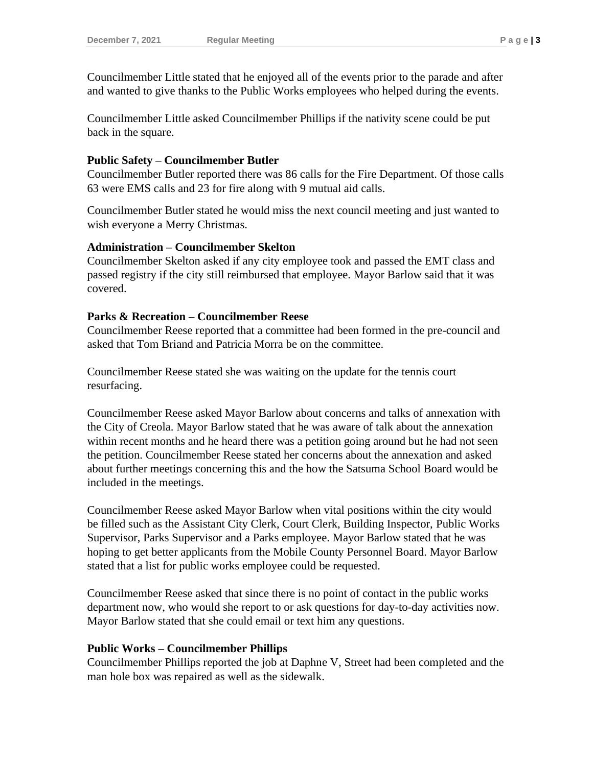Councilmember Little stated that he enjoyed all of the events prior to the parade and after and wanted to give thanks to the Public Works employees who helped during the events.

Councilmember Little asked Councilmember Phillips if the nativity scene could be put back in the square.

### **Public Safety – Councilmember Butler**

Councilmember Butler reported there was 86 calls for the Fire Department. Of those calls 63 were EMS calls and 23 for fire along with 9 mutual aid calls.

Councilmember Butler stated he would miss the next council meeting and just wanted to wish everyone a Merry Christmas.

# **Administration – Councilmember Skelton**

Councilmember Skelton asked if any city employee took and passed the EMT class and passed registry if the city still reimbursed that employee. Mayor Barlow said that it was covered.

# **Parks & Recreation – Councilmember Reese**

Councilmember Reese reported that a committee had been formed in the pre-council and asked that Tom Briand and Patricia Morra be on the committee.

Councilmember Reese stated she was waiting on the update for the tennis court resurfacing.

Councilmember Reese asked Mayor Barlow about concerns and talks of annexation with the City of Creola. Mayor Barlow stated that he was aware of talk about the annexation within recent months and he heard there was a petition going around but he had not seen the petition. Councilmember Reese stated her concerns about the annexation and asked about further meetings concerning this and the how the Satsuma School Board would be included in the meetings.

Councilmember Reese asked Mayor Barlow when vital positions within the city would be filled such as the Assistant City Clerk, Court Clerk, Building Inspector, Public Works Supervisor, Parks Supervisor and a Parks employee. Mayor Barlow stated that he was hoping to get better applicants from the Mobile County Personnel Board. Mayor Barlow stated that a list for public works employee could be requested.

Councilmember Reese asked that since there is no point of contact in the public works department now, who would she report to or ask questions for day-to-day activities now. Mayor Barlow stated that she could email or text him any questions.

### **Public Works – Councilmember Phillips**

Councilmember Phillips reported the job at Daphne V, Street had been completed and the man hole box was repaired as well as the sidewalk.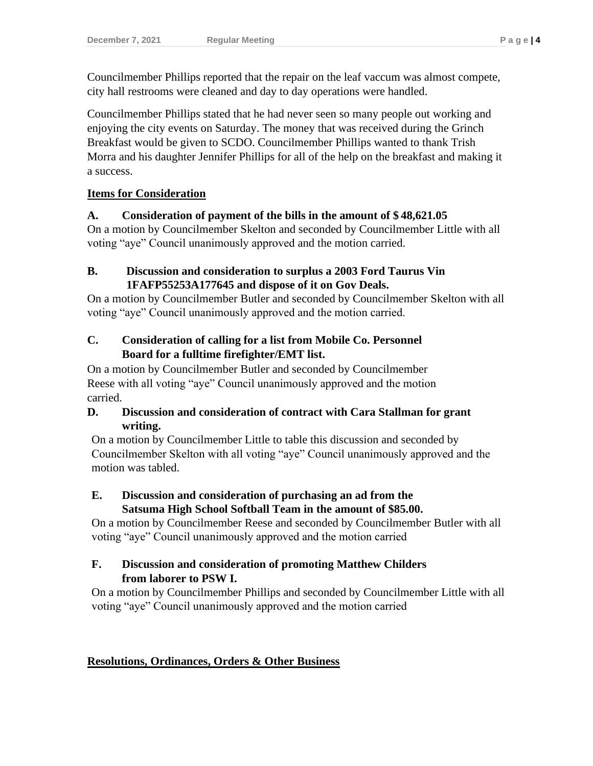Councilmember Phillips reported that the repair on the leaf vaccum was almost compete, city hall restrooms were cleaned and day to day operations were handled.

Councilmember Phillips stated that he had never seen so many people out working and enjoying the city events on Saturday. The money that was received during the Grinch Breakfast would be given to SCDO. Councilmember Phillips wanted to thank Trish Morra and his daughter Jennifer Phillips for all of the help on the breakfast and making it a success.

# **Items for Consideration**

# **A. Consideration of payment of the bills in the amount of \$ 48,621.05**

On a motion by Councilmember Skelton and seconded by Councilmember Little with all voting "aye" Council unanimously approved and the motion carried.

# **B. Discussion and consideration to surplus a 2003 Ford Taurus Vin 1FAFP55253A177645 and dispose of it on Gov Deals.**

On a motion by Councilmember Butler and seconded by Councilmember Skelton with all voting "aye" Council unanimously approved and the motion carried.

# **C. Consideration of calling for a list from Mobile Co. Personnel Board for a fulltime firefighter/EMT list.**

On a motion by Councilmember Butler and seconded by Councilmember Reese with all voting "aye" Council unanimously approved and the motion carried.

# **D. Discussion and consideration of contract with Cara Stallman for grant writing.**

On a motion by Councilmember Little to table this discussion and seconded by Councilmember Skelton with all voting "aye" Council unanimously approved and the motion was tabled.

# **E. Discussion and consideration of purchasing an ad from the Satsuma High School Softball Team in the amount of \$85.00.**

On a motion by Councilmember Reese and seconded by Councilmember Butler with all voting "aye" Council unanimously approved and the motion carried

# **F. Discussion and consideration of promoting Matthew Childers from laborer to PSW I.**

On a motion by Councilmember Phillips and seconded by Councilmember Little with all voting "aye" Council unanimously approved and the motion carried

# **Resolutions, Ordinances, Orders & Other Business**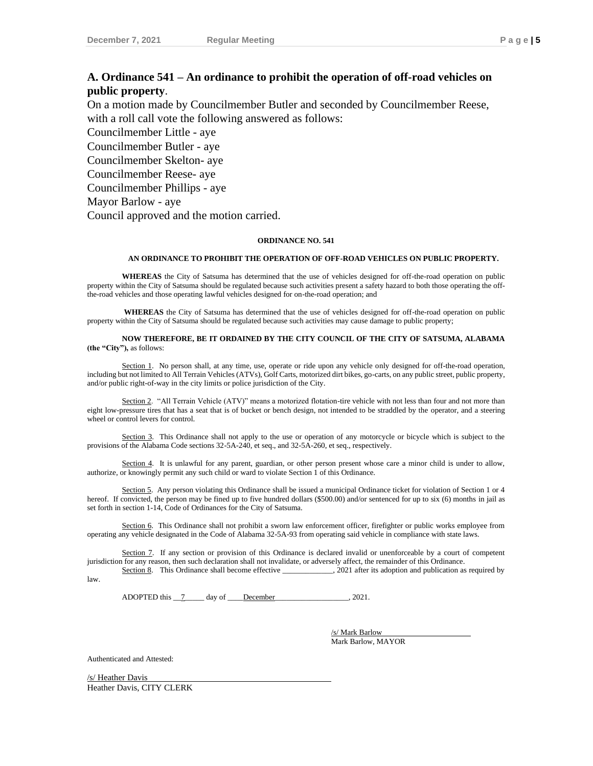# **A. Ordinance 541 – An ordinance to prohibit the operation of off-road vehicles on public property**.

On a motion made by Councilmember Butler and seconded by Councilmember Reese, with a roll call vote the following answered as follows:

Councilmember Little - aye

Councilmember Butler - aye

Councilmember Skelton- aye

Councilmember Reese- aye

Councilmember Phillips - aye

Mayor Barlow - aye

Council approved and the motion carried.

#### **ORDINANCE NO. 541**

#### **AN ORDINANCE TO PROHIBIT THE OPERATION OF OFF-ROAD VEHICLES ON PUBLIC PROPERTY.**

**WHEREAS** the City of Satsuma has determined that the use of vehicles designed for off-the-road operation on public property within the City of Satsuma should be regulated because such activities present a safety hazard to both those operating the offthe-road vehicles and those operating lawful vehicles designed for on-the-road operation; and

**WHEREAS** the City of Satsuma has determined that the use of vehicles designed for off-the-road operation on public property within the City of Satsuma should be regulated because such activities may cause damage to public property;

**NOW THEREFORE, BE IT ORDAINED BY THE CITY COUNCIL OF THE CITY OF SATSUMA, ALABAMA (the "City"),** as follows:

Section 1. No person shall, at any time, use, operate or ride upon any vehicle only designed for off-the-road operation, including but not limited to All Terrain Vehicles (ATVs), Golf Carts, motorized dirt bikes, go-carts, on any public street, public property, and/or public right-of-way in the city limits or police jurisdiction of the City.

Section 2. "All Terrain Vehicle (ATV)" means a motorized flotation-tire vehicle with not less than four and not more than eight low-pressure tires that has a seat that is of bucket or bench design, not intended to be straddled by the operator, and a steering wheel or control levers for control.

Section 3. This Ordinance shall not apply to the use or operation of any motorcycle or bicycle which is subject to the provisions of the Alabama Code sections 32-5A-240, et seq., and 32-5A-260, et seq., respectively.

Section 4. It is unlawful for any parent, guardian, or other person present whose care a minor child is under to allow, authorize, or knowingly permit any such child or ward to violate Section 1 of this Ordinance.

Section 5. Any person violating this Ordinance shall be issued a municipal Ordinance ticket for violation of Section 1 or 4 hereof. If convicted, the person may be fined up to five hundred dollars (\$500.00) and/or sentenced for up to six (6) months in jail as set forth in section 1-14, Code of Ordinances for the City of Satsuma.

Section 6. This Ordinance shall not prohibit a sworn law enforcement officer, firefighter or public works employee from operating any vehicle designated in the Code of Alabama 32-5A-93 from operating said vehicle in compliance with state laws.

Section 7. If any section or provision of this Ordinance is declared invalid or unenforceable by a court of competent jurisdiction for any reason, then such declaration shall not invalidate, or adversely affect, the remainder of this Ordinance.

Section 8. This Ordinance shall become effective \_\_\_\_\_\_\_\_\_, 2021 after its adoption and publication as required by law.

ADOPTED this  $\frac{7}{2}$  day of December 2021.

/s/ Mark Barlow Mark Barlow, MAYOR

Authenticated and Attested:

/s/ Heather Davis Heather Davis, CITY CLERK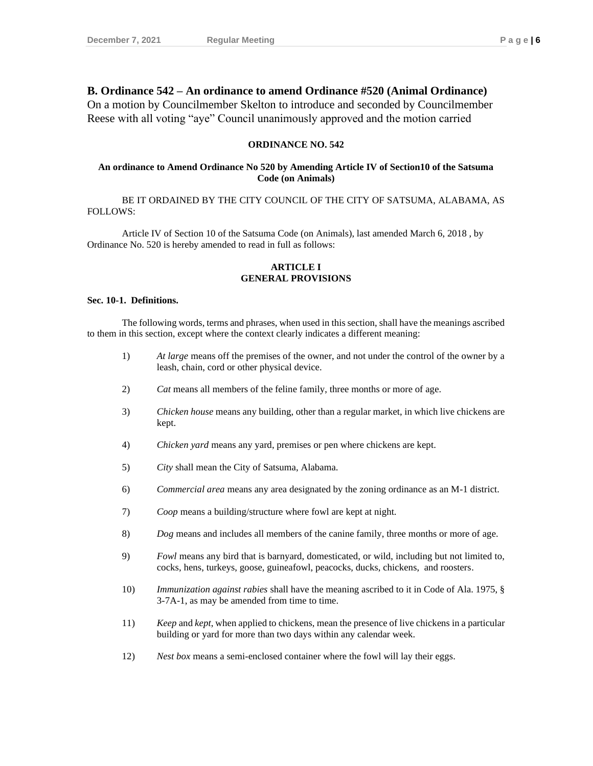### **B. Ordinance 542 – An ordinance to amend Ordinance #520 (Animal Ordinance)**

On a motion by Councilmember Skelton to introduce and seconded by Councilmember Reese with all voting "aye" Council unanimously approved and the motion carried

#### **ORDINANCE NO. 542**

#### **An ordinance to Amend Ordinance No 520 by Amending Article IV of Section10 of the Satsuma Code (on Animals)**

BE IT ORDAINED BY THE CITY COUNCIL OF THE CITY OF SATSUMA, ALABAMA, AS FOLLOWS:

Article IV of Section 10 of the Satsuma Code (on Animals), last amended March 6, 2018 , by Ordinance No. 520 is hereby amended to read in full as follows:

#### **ARTICLE I GENERAL PROVISIONS**

#### **Sec. 10-1. Definitions.**

The following words, terms and phrases, when used in this section, shall have the meanings ascribed to them in this section, except where the context clearly indicates a different meaning:

- 1) *At large* means off the premises of the owner, and not under the control of the owner by a leash, chain, cord or other physical device.
- 2) *Cat* means all members of the feline family, three months or more of age.
- 3) *Chicken house* means any building, other than a regular market, in which live chickens are kept.
- 4) *Chicken yard* means any yard, premises or pen where chickens are kept.
- 5) *City* shall mean the City of Satsuma, Alabama.
- 6) *Commercial area* means any area designated by the zoning ordinance as an M-1 district.
- 7) *Coop* means a building/structure where fowl are kept at night.
- 8) *Dog* means and includes all members of the canine family, three months or more of age.
- 9) *Fowl* means any bird that is barnyard, domesticated, or wild, including but not limited to, cocks, hens, turkeys, goose, guineafowl, peacocks, ducks, chickens, and roosters.
- 10) *Immunization against rabies* shall have the meaning ascribed to it in Code of Ala. 1975, § 3-7A-1, as may be amended from time to time.
- 11) *Keep* and *kept*, when applied to chickens, mean the presence of live chickens in a particular building or yard for more than two days within any calendar week.
- 12) *Nest box* means a semi-enclosed container where the fowl will lay their eggs.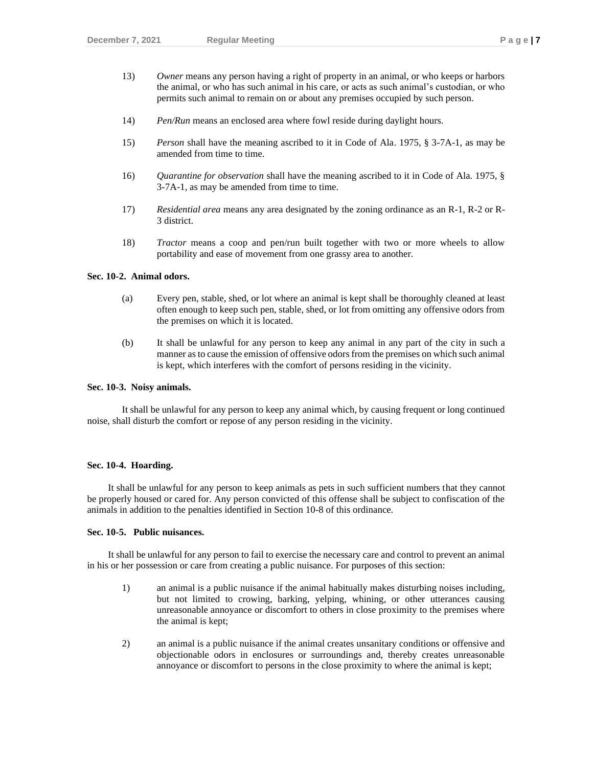- 13) *Owner* means any person having a right of property in an animal, or who keeps or harbors the animal, or who has such animal in his care, or acts as such animal's custodian, or who permits such animal to remain on or about any premises occupied by such person.
- 14) *Pen/Run* means an enclosed area where fowl reside during daylight hours.
- 15) *Person* shall have the meaning ascribed to it in Code of Ala. 1975, § 3-7A-1, as may be amended from time to time.
- 16) *Quarantine for observation* shall have the meaning ascribed to it in Code of Ala. 1975, § 3-7A-1, as may be amended from time to time.
- 17) *Residential area* means any area designated by the zoning ordinance as an R-1, R-2 or R-3 district.
- 18) *Tractor* means a coop and pen/run built together with two or more wheels to allow portability and ease of movement from one grassy area to another.

#### **Sec. 10-2. Animal odors.**

- (a) Every pen, stable, shed, or lot where an animal is kept shall be thoroughly cleaned at least often enough to keep such pen, stable, shed, or lot from omitting any offensive odors from the premises on which it is located.
- (b) It shall be unlawful for any person to keep any animal in any part of the city in such a manner as to cause the emission of offensive odors from the premises on which such animal is kept, which interferes with the comfort of persons residing in the vicinity.

#### **Sec. 10-3. Noisy animals.**

It shall be unlawful for any person to keep any animal which, by causing frequent or long continued noise, shall disturb the comfort or repose of any person residing in the vicinity.

#### **Sec. 10-4. Hoarding.**

It shall be unlawful for any person to keep animals as pets in such sufficient numbers that they cannot be properly housed or cared for. Any person convicted of this offense shall be subject to confiscation of the animals in addition to the penalties identified in Section 10-8 of this ordinance.

#### **Sec. 10-5. Public nuisances.**

It shall be unlawful for any person to fail to exercise the necessary care and control to prevent an animal in his or her possession or care from creating a public nuisance. For purposes of this section:

- 1) an animal is a public nuisance if the animal habitually makes disturbing noises including, but not limited to crowing, barking, yelping, whining, or other utterances causing unreasonable annoyance or discomfort to others in close proximity to the premises where the animal is kept;
- 2) an animal is a public nuisance if the animal creates unsanitary conditions or offensive and objectionable odors in enclosures or surroundings and, thereby creates unreasonable annoyance or discomfort to persons in the close proximity to where the animal is kept;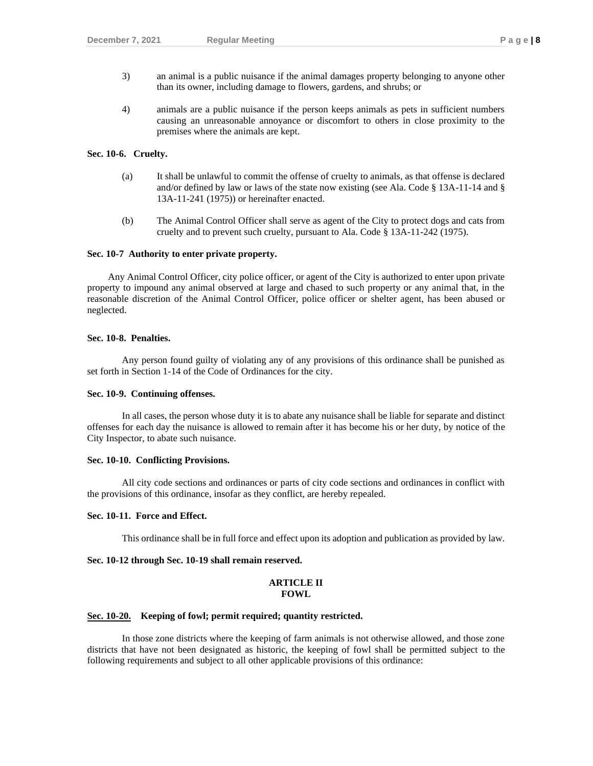- 3) an animal is a public nuisance if the animal damages property belonging to anyone other than its owner, including damage to flowers, gardens, and shrubs; or
- 4) animals are a public nuisance if the person keeps animals as pets in sufficient numbers causing an unreasonable annoyance or discomfort to others in close proximity to the premises where the animals are kept.

#### **Sec. 10-6. Cruelty.**

- (a) It shall be unlawful to commit the offense of cruelty to animals, as that offense is declared and/or defined by law or laws of the state now existing (see Ala. Code § 13A-11-14 and § 13A-11-241 (1975)) or hereinafter enacted.
- (b) The Animal Control Officer shall serve as agent of the City to protect dogs and cats from cruelty and to prevent such cruelty, pursuant to Ala. Code § 13A-11-242 (1975).

#### **Sec. 10-7 Authority to enter private property.**

Any Animal Control Officer, city police officer, or agent of the City is authorized to enter upon private property to impound any animal observed at large and chased to such property or any animal that, in the reasonable discretion of the Animal Control Officer, police officer or shelter agent, has been abused or neglected.

#### **Sec. 10-8. Penalties.**

Any person found guilty of violating any of any provisions of this ordinance shall be punished as set forth in Section 1-14 of the Code of Ordinances for the city.

#### **Sec. 10-9. Continuing offenses.**

In all cases, the person whose duty it is to abate any nuisance shall be liable for separate and distinct offenses for each day the nuisance is allowed to remain after it has become his or her duty, by notice of the City Inspector, to abate such nuisance.

#### **Sec. 10-10. Conflicting Provisions.**

All city code sections and ordinances or parts of city code sections and ordinances in conflict with the provisions of this ordinance, insofar as they conflict, are hereby repealed.

#### **Sec. 10-11. Force and Effect.**

This ordinance shall be in full force and effect upon its adoption and publication as provided by law.

#### **Sec. 10-12 through Sec. 10-19 shall remain reserved.**

#### **ARTICLE II FOWL**

#### **Sec. 10-20. Keeping of fowl; permit required; quantity restricted.**

In those zone districts where the keeping of farm animals is not otherwise allowed, and those zone districts that have not been designated as historic, the keeping of fowl shall be permitted subject to the following requirements and subject to all other applicable provisions of this ordinance: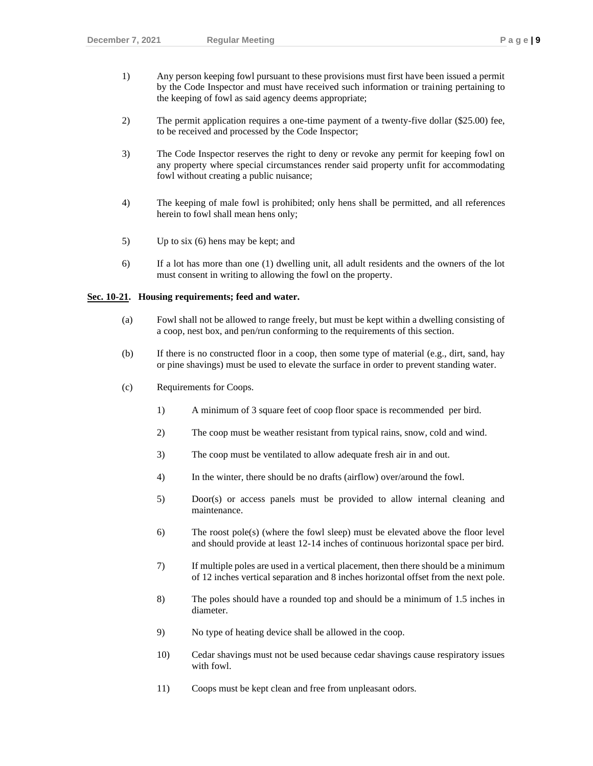- 1) Any person keeping fowl pursuant to these provisions must first have been issued a permit by the Code Inspector and must have received such information or training pertaining to the keeping of fowl as said agency deems appropriate;
- 2) The permit application requires a one-time payment of a twenty-five dollar (\$25.00) fee, to be received and processed by the Code Inspector;
- 3) The Code Inspector reserves the right to deny or revoke any permit for keeping fowl on any property where special circumstances render said property unfit for accommodating fowl without creating a public nuisance;
- 4) The keeping of male fowl is prohibited; only hens shall be permitted, and all references herein to fowl shall mean hens only;
- 5) Up to six (6) hens may be kept; and
- 6) If a lot has more than one (1) dwelling unit, all adult residents and the owners of the lot must consent in writing to allowing the fowl on the property.

#### **Sec. 10-21. Housing requirements; feed and water.**

- (a) Fowl shall not be allowed to range freely, but must be kept within a dwelling consisting of a coop, nest box, and pen/run conforming to the requirements of this section.
- (b) If there is no constructed floor in a coop, then some type of material (e.g., dirt, sand, hay or pine shavings) must be used to elevate the surface in order to prevent standing water.
- (c) Requirements for Coops.
	- 1) A minimum of 3 square feet of coop floor space is recommended per bird.
	- 2) The coop must be weather resistant from typical rains, snow, cold and wind.
	- 3) The coop must be ventilated to allow adequate fresh air in and out.
	- 4) In the winter, there should be no drafts (airflow) over/around the fowl.
	- 5) Door(s) or access panels must be provided to allow internal cleaning and maintenance.
	- 6) The roost pole(s) (where the fowl sleep) must be elevated above the floor level and should provide at least 12-14 inches of continuous horizontal space per bird.
	- 7) If multiple poles are used in a vertical placement, then there should be a minimum of 12 inches vertical separation and 8 inches horizontal offset from the next pole.
	- 8) The poles should have a rounded top and should be a minimum of 1.5 inches in diameter.
	- 9) No type of heating device shall be allowed in the coop.
	- 10) Cedar shavings must not be used because cedar shavings cause respiratory issues with fowl.
	- 11) Coops must be kept clean and free from unpleasant odors.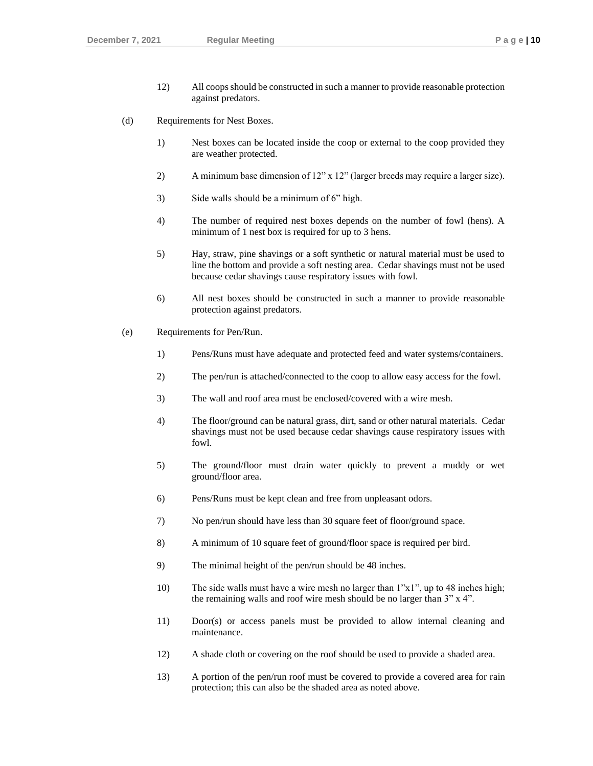- 12) All coops should be constructed in such a manner to provide reasonable protection against predators.
- (d) Requirements for Nest Boxes.
	- 1) Nest boxes can be located inside the coop or external to the coop provided they are weather protected.
	- 2) A minimum base dimension of 12" x 12" (larger breeds may require a larger size).
	- 3) Side walls should be a minimum of 6" high.
	- 4) The number of required nest boxes depends on the number of fowl (hens). A minimum of 1 nest box is required for up to 3 hens.
	- 5) Hay, straw, pine shavings or a soft synthetic or natural material must be used to line the bottom and provide a soft nesting area. Cedar shavings must not be used because cedar shavings cause respiratory issues with fowl.
	- 6) All nest boxes should be constructed in such a manner to provide reasonable protection against predators.
- (e) Requirements for Pen/Run.
	- 1) Pens/Runs must have adequate and protected feed and water systems/containers.
	- 2) The pen/run is attached/connected to the coop to allow easy access for the fowl.
	- 3) The wall and roof area must be enclosed/covered with a wire mesh.
	- 4) The floor/ground can be natural grass, dirt, sand or other natural materials. Cedar shavings must not be used because cedar shavings cause respiratory issues with fowl.
	- 5) The ground/floor must drain water quickly to prevent a muddy or wet ground/floor area.
	- 6) Pens/Runs must be kept clean and free from unpleasant odors.
	- 7) No pen/run should have less than 30 square feet of floor/ground space.
	- 8) A minimum of 10 square feet of ground/floor space is required per bird.
	- 9) The minimal height of the pen/run should be 48 inches.
	- 10) The side walls must have a wire mesh no larger than 1"x1", up to 48 inches high; the remaining walls and roof wire mesh should be no larger than 3" x 4".
	- 11) Door(s) or access panels must be provided to allow internal cleaning and maintenance.
	- 12) A shade cloth or covering on the roof should be used to provide a shaded area.
	- 13) A portion of the pen/run roof must be covered to provide a covered area for rain protection; this can also be the shaded area as noted above.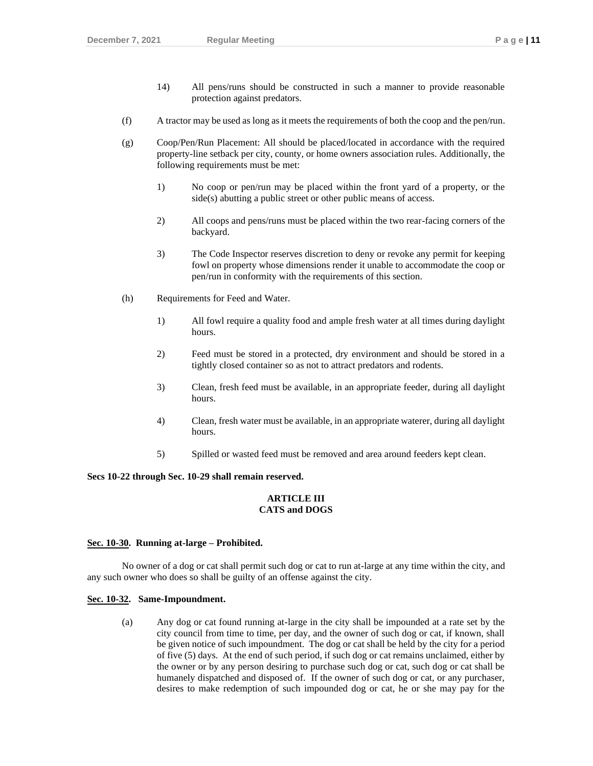- 14) All pens/runs should be constructed in such a manner to provide reasonable protection against predators.
- (f) A tractor may be used as long as it meets the requirements of both the coop and the pen/run.
- (g) Coop/Pen/Run Placement: All should be placed/located in accordance with the required property-line setback per city, county, or home owners association rules. Additionally, the following requirements must be met:
	- 1) No coop or pen/run may be placed within the front yard of a property, or the side(s) abutting a public street or other public means of access.
	- 2) All coops and pens/runs must be placed within the two rear-facing corners of the backyard.
	- 3) The Code Inspector reserves discretion to deny or revoke any permit for keeping fowl on property whose dimensions render it unable to accommodate the coop or pen/run in conformity with the requirements of this section.
- (h) Requirements for Feed and Water.
	- 1) All fowl require a quality food and ample fresh water at all times during daylight hours.
	- 2) Feed must be stored in a protected, dry environment and should be stored in a tightly closed container so as not to attract predators and rodents.
	- 3) Clean, fresh feed must be available, in an appropriate feeder, during all daylight hours.
	- 4) Clean, fresh water must be available, in an appropriate waterer, during all daylight hours.
	- 5) Spilled or wasted feed must be removed and area around feeders kept clean.

#### **Secs 10-22 through Sec. 10-29 shall remain reserved.**

#### **ARTICLE III CATS and DOGS**

#### **Sec. 10-30. Running at-large – Prohibited.**

No owner of a dog or cat shall permit such dog or cat to run at-large at any time within the city, and any such owner who does so shall be guilty of an offense against the city.

#### **Sec. 10-32. Same-Impoundment.**

(a) Any dog or cat found running at-large in the city shall be impounded at a rate set by the city council from time to time, per day, and the owner of such dog or cat, if known, shall be given notice of such impoundment. The dog or cat shall be held by the city for a period of five (5) days. At the end of such period, if such dog or cat remains unclaimed, either by the owner or by any person desiring to purchase such dog or cat, such dog or cat shall be humanely dispatched and disposed of. If the owner of such dog or cat, or any purchaser, desires to make redemption of such impounded dog or cat, he or she may pay for the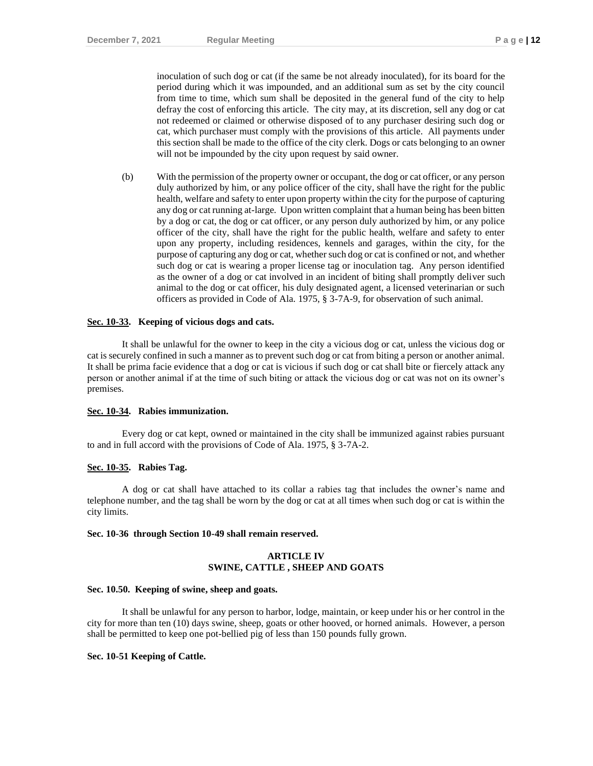inoculation of such dog or cat (if the same be not already inoculated), for its board for the period during which it was impounded, and an additional sum as set by the city council from time to time, which sum shall be deposited in the general fund of the city to help defray the cost of enforcing this article. The city may, at its discretion, sell any dog or cat not redeemed or claimed or otherwise disposed of to any purchaser desiring such dog or cat, which purchaser must comply with the provisions of this article. All payments under this section shall be made to the office of the city clerk. Dogs or cats belonging to an owner will not be impounded by the city upon request by said owner.

(b) With the permission of the property owner or occupant, the dog or cat officer, or any person duly authorized by him, or any police officer of the city, shall have the right for the public health, welfare and safety to enter upon property within the city for the purpose of capturing any dog or cat running at-large. Upon written complaint that a human being has been bitten by a dog or cat, the dog or cat officer, or any person duly authorized by him, or any police officer of the city, shall have the right for the public health, welfare and safety to enter upon any property, including residences, kennels and garages, within the city, for the purpose of capturing any dog or cat, whether such dog or cat is confined or not, and whether such dog or cat is wearing a proper license tag or inoculation tag. Any person identified as the owner of a dog or cat involved in an incident of biting shall promptly deliver such animal to the dog or cat officer, his duly designated agent, a licensed veterinarian or such officers as provided in Code of Ala. 1975, § 3-7A-9, for observation of such animal.

#### **Sec. 10-33. Keeping of vicious dogs and cats.**

It shall be unlawful for the owner to keep in the city a vicious dog or cat, unless the vicious dog or cat is securely confined in such a manner as to prevent such dog or cat from biting a person or another animal. It shall be prima facie evidence that a dog or cat is vicious if such dog or cat shall bite or fiercely attack any person or another animal if at the time of such biting or attack the vicious dog or cat was not on its owner's premises.

#### **Sec. 10-34. Rabies immunization.**

Every dog or cat kept, owned or maintained in the city shall be immunized against rabies pursuant to and in full accord with the provisions of Code of Ala. 1975, § 3-7A-2.

#### **Sec. 10-35. Rabies Tag.**

A dog or cat shall have attached to its collar a rabies tag that includes the owner's name and telephone number, and the tag shall be worn by the dog or cat at all times when such dog or cat is within the city limits.

#### **Sec. 10-36 through Section 10-49 shall remain reserved.**

#### **ARTICLE IV SWINE, CATTLE , SHEEP AND GOATS**

#### **Sec. 10.50. Keeping of swine, sheep and goats.**

It shall be unlawful for any person to harbor, lodge, maintain, or keep under his or her control in the city for more than ten (10) days swine, sheep, goats or other hooved, or horned animals. However, a person shall be permitted to keep one pot-bellied pig of less than 150 pounds fully grown.

#### **Sec. 10-51 Keeping of Cattle.**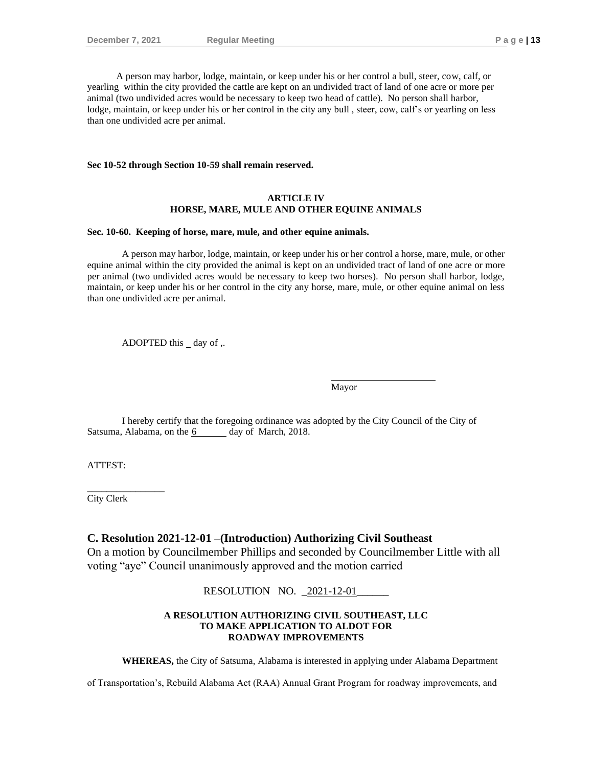A person may harbor, lodge, maintain, or keep under his or her control a bull, steer, cow, calf, or yearling within the city provided the cattle are kept on an undivided tract of land of one acre or more per animal (two undivided acres would be necessary to keep two head of cattle). No person shall harbor, lodge, maintain, or keep under his or her control in the city any bull , steer, cow, calf's or yearling on less than one undivided acre per animal.

#### **Sec 10-52 through Section 10-59 shall remain reserved.**

#### **ARTICLE IV HORSE, MARE, MULE AND OTHER EQUINE ANIMALS**

#### **Sec. 10-60. Keeping of horse, mare, mule, and other equine animals.**

A person may harbor, lodge, maintain, or keep under his or her control a horse, mare, mule, or other equine animal within the city provided the animal is kept on an undivided tract of land of one acre or more per animal (two undivided acres would be necessary to keep two horses). No person shall harbor, lodge, maintain, or keep under his or her control in the city any horse, mare, mule, or other equine animal on less than one undivided acre per animal.

ADOPTED this  $\_\,$  day of ,.

Mayor

I hereby certify that the foregoing ordinance was adopted by the City Council of the City of Satsuma, Alabama, on the 6 day of March, 2018.

ATTEST:

City Clerk

\_\_\_\_\_\_\_\_\_\_\_\_\_\_\_\_

#### **C. Resolution 2021-12-01 –(Introduction) Authorizing Civil Southeast**

On a motion by Councilmember Phillips and seconded by Councilmember Little with all voting "aye" Council unanimously approved and the motion carried

RESOLUTION NO. 2021-12-01

#### **A RESOLUTION AUTHORIZING CIVIL SOUTHEAST, LLC TO MAKE APPLICATION TO ALDOT FOR ROADWAY IMPROVEMENTS**

**WHEREAS,** the City of Satsuma, Alabama is interested in applying under Alabama Department

of Transportation's, Rebuild Alabama Act (RAA) Annual Grant Program for roadway improvements, and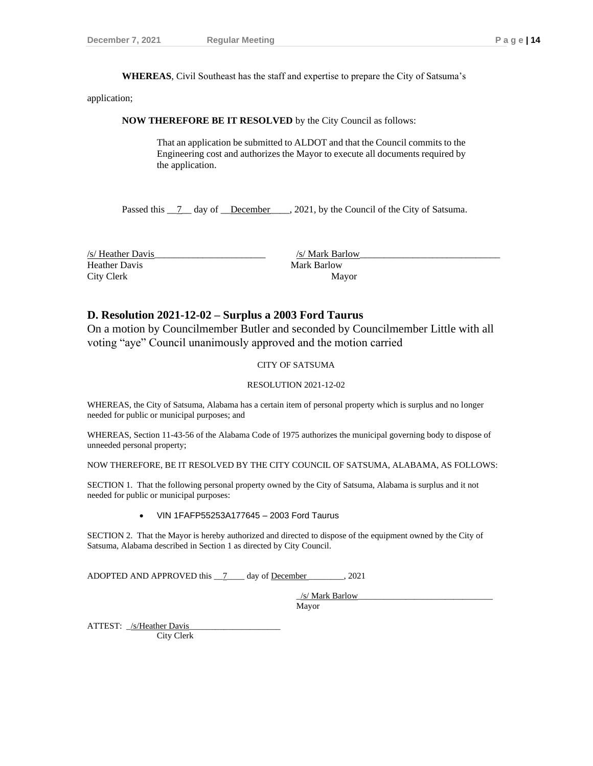**WHEREAS**, Civil Southeast has the staff and expertise to prepare the City of Satsuma's

application;

**NOW THEREFORE BE IT RESOLVED** by the City Council as follows:

That an application be submitted to ALDOT and that the Council commits to the Engineering cost and authorizes the Mayor to execute all documents required by the application.

Passed this  $\overline{7}$  day of December . 2021, by the Council of the City of Satsuma.

Heather Davis Mark Barlow City Clerk Mayor

 $\frac{1}{s}$  Heather Davis  $\frac{1}{s}$  Heather Davis

### **D. Resolution 2021-12-02 – Surplus a 2003 Ford Taurus**

On a motion by Councilmember Butler and seconded by Councilmember Little with all voting "aye" Council unanimously approved and the motion carried

#### CITY OF SATSUMA

#### RESOLUTION 2021-12-02

WHEREAS, the City of Satsuma, Alabama has a certain item of personal property which is surplus and no longer needed for public or municipal purposes; and

WHEREAS, Section 11-43-56 of the Alabama Code of 1975 authorizes the municipal governing body to dispose of unneeded personal property;

NOW THEREFORE, BE IT RESOLVED BY THE CITY COUNCIL OF SATSUMA, ALABAMA, AS FOLLOWS:

SECTION 1. That the following personal property owned by the City of Satsuma, Alabama is surplus and it not needed for public or municipal purposes:

#### • VIN 1FAFP55253A177645 – 2003 Ford Taurus

SECTION 2. That the Mayor is hereby authorized and directed to dispose of the equipment owned by the City of Satsuma, Alabama described in Section 1 as directed by City Council.

ADOPTED AND APPROVED this \_\_7\_\_\_\_ day of December \_\_\_\_\_\_\_\_, 2021

/s/ Mark Barlow Mayor

ATTEST: /s/Heather Davis

City Clerk